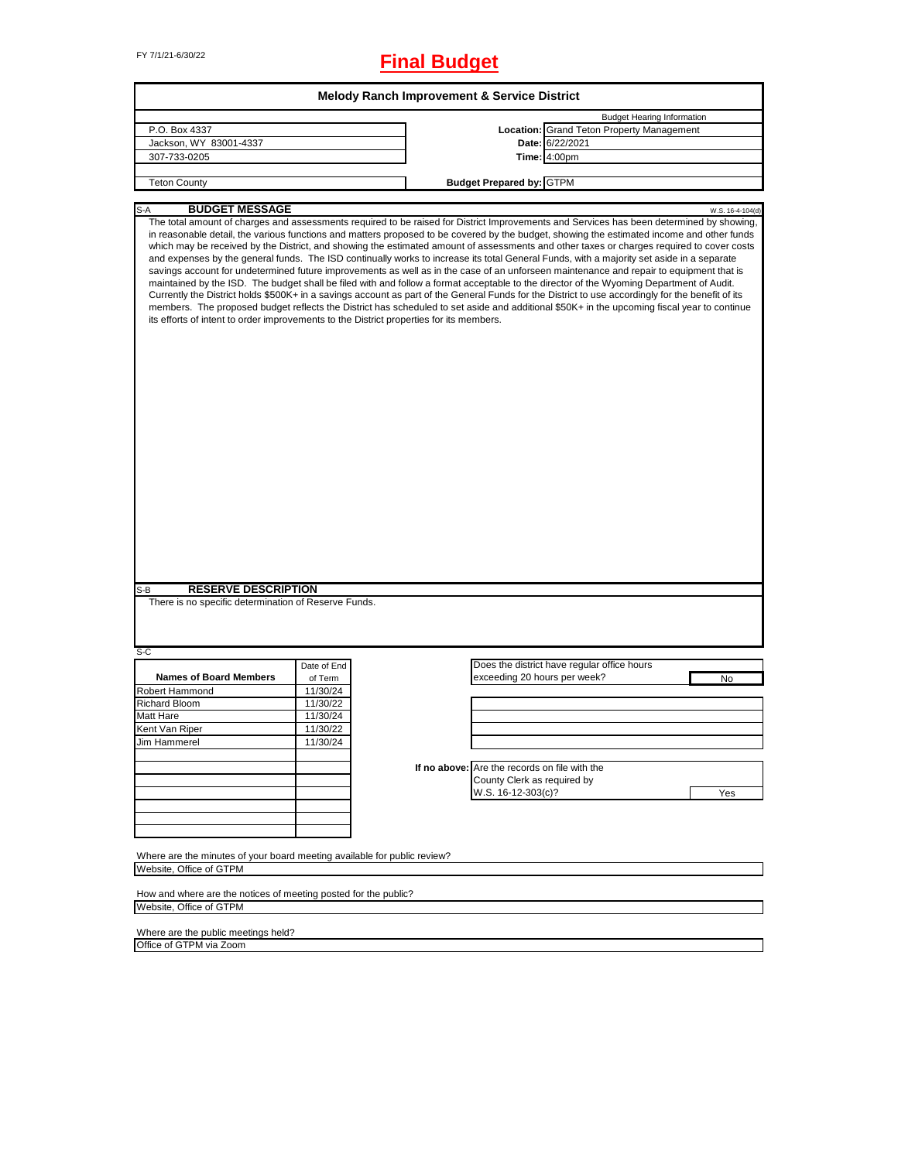# FY 7/1/21-6/30/22 **Final Budget**

|                                                                                                                                                                                                                                                                                                                                                                                                                                                                                                                                                                                                                                                                                                                                                                                                                                                                                                                                                                                                                                                                                                                                                                                                                                                                        |             | <b>Melody Ranch Improvement &amp; Service District</b> |                                               |                                                  |                                   |                  |
|------------------------------------------------------------------------------------------------------------------------------------------------------------------------------------------------------------------------------------------------------------------------------------------------------------------------------------------------------------------------------------------------------------------------------------------------------------------------------------------------------------------------------------------------------------------------------------------------------------------------------------------------------------------------------------------------------------------------------------------------------------------------------------------------------------------------------------------------------------------------------------------------------------------------------------------------------------------------------------------------------------------------------------------------------------------------------------------------------------------------------------------------------------------------------------------------------------------------------------------------------------------------|-------------|--------------------------------------------------------|-----------------------------------------------|--------------------------------------------------|-----------------------------------|------------------|
|                                                                                                                                                                                                                                                                                                                                                                                                                                                                                                                                                                                                                                                                                                                                                                                                                                                                                                                                                                                                                                                                                                                                                                                                                                                                        |             |                                                        |                                               |                                                  | <b>Budget Hearing Information</b> |                  |
| P.O. Box 4337                                                                                                                                                                                                                                                                                                                                                                                                                                                                                                                                                                                                                                                                                                                                                                                                                                                                                                                                                                                                                                                                                                                                                                                                                                                          |             |                                                        |                                               | <b>Location: Grand Teton Property Management</b> |                                   |                  |
| Jackson, WY 83001-4337                                                                                                                                                                                                                                                                                                                                                                                                                                                                                                                                                                                                                                                                                                                                                                                                                                                                                                                                                                                                                                                                                                                                                                                                                                                 |             |                                                        |                                               | Date: 6/22/2021                                  |                                   |                  |
| 307-733-0205                                                                                                                                                                                                                                                                                                                                                                                                                                                                                                                                                                                                                                                                                                                                                                                                                                                                                                                                                                                                                                                                                                                                                                                                                                                           |             |                                                        |                                               | Time: 4:00pm                                     |                                   |                  |
|                                                                                                                                                                                                                                                                                                                                                                                                                                                                                                                                                                                                                                                                                                                                                                                                                                                                                                                                                                                                                                                                                                                                                                                                                                                                        |             |                                                        |                                               |                                                  |                                   |                  |
| <b>Teton County</b>                                                                                                                                                                                                                                                                                                                                                                                                                                                                                                                                                                                                                                                                                                                                                                                                                                                                                                                                                                                                                                                                                                                                                                                                                                                    |             |                                                        | <b>Budget Prepared by: GTPM</b>               |                                                  |                                   |                  |
|                                                                                                                                                                                                                                                                                                                                                                                                                                                                                                                                                                                                                                                                                                                                                                                                                                                                                                                                                                                                                                                                                                                                                                                                                                                                        |             |                                                        |                                               |                                                  |                                   |                  |
| <b>BUDGET MESSAGE</b><br>$S-A$                                                                                                                                                                                                                                                                                                                                                                                                                                                                                                                                                                                                                                                                                                                                                                                                                                                                                                                                                                                                                                                                                                                                                                                                                                         |             |                                                        |                                               |                                                  |                                   | W.S. 16-4-104(d) |
| The total amount of charges and assessments required to be raised for District Improvements and Services has been determined by showing,<br>in reasonable detail, the various functions and matters proposed to be covered by the budget, showing the estimated income and other funds<br>which may be received by the District, and showing the estimated amount of assessments and other taxes or charges required to cover costs<br>and expenses by the general funds. The ISD continually works to increase its total General Funds, with a majority set aside in a separate<br>savings account for undetermined future improvements as well as in the case of an unforseen maintenance and repair to equipment that is<br>maintained by the ISD. The budget shall be filed with and follow a format acceptable to the director of the Wyoming Department of Audit.<br>Currently the District holds \$500K+ in a savings account as part of the General Funds for the District to use accordingly for the benefit of its<br>members. The proposed budget reflects the District has scheduled to set aside and additional \$50K+ in the upcoming fiscal year to continue<br>its efforts of intent to order improvements to the District properties for its members. |             |                                                        |                                               |                                                  |                                   |                  |
|                                                                                                                                                                                                                                                                                                                                                                                                                                                                                                                                                                                                                                                                                                                                                                                                                                                                                                                                                                                                                                                                                                                                                                                                                                                                        |             |                                                        |                                               |                                                  |                                   |                  |
| <b>RESERVE DESCRIPTION</b><br>S-B                                                                                                                                                                                                                                                                                                                                                                                                                                                                                                                                                                                                                                                                                                                                                                                                                                                                                                                                                                                                                                                                                                                                                                                                                                      |             |                                                        |                                               |                                                  |                                   |                  |
| There is no specific determination of Reserve Funds.                                                                                                                                                                                                                                                                                                                                                                                                                                                                                                                                                                                                                                                                                                                                                                                                                                                                                                                                                                                                                                                                                                                                                                                                                   |             |                                                        |                                               |                                                  |                                   |                  |
|                                                                                                                                                                                                                                                                                                                                                                                                                                                                                                                                                                                                                                                                                                                                                                                                                                                                                                                                                                                                                                                                                                                                                                                                                                                                        |             |                                                        |                                               |                                                  |                                   |                  |
|                                                                                                                                                                                                                                                                                                                                                                                                                                                                                                                                                                                                                                                                                                                                                                                                                                                                                                                                                                                                                                                                                                                                                                                                                                                                        | Date of End |                                                        |                                               | Does the district have regular office hours      |                                   |                  |
| <b>Names of Board Members</b>                                                                                                                                                                                                                                                                                                                                                                                                                                                                                                                                                                                                                                                                                                                                                                                                                                                                                                                                                                                                                                                                                                                                                                                                                                          | of Term     |                                                        | exceeding 20 hours per week?                  |                                                  |                                   | No               |
|                                                                                                                                                                                                                                                                                                                                                                                                                                                                                                                                                                                                                                                                                                                                                                                                                                                                                                                                                                                                                                                                                                                                                                                                                                                                        | 11/30/24    |                                                        |                                               |                                                  |                                   |                  |
|                                                                                                                                                                                                                                                                                                                                                                                                                                                                                                                                                                                                                                                                                                                                                                                                                                                                                                                                                                                                                                                                                                                                                                                                                                                                        | 11/30/22    |                                                        |                                               |                                                  |                                   |                  |
|                                                                                                                                                                                                                                                                                                                                                                                                                                                                                                                                                                                                                                                                                                                                                                                                                                                                                                                                                                                                                                                                                                                                                                                                                                                                        | 11/30/24    |                                                        |                                               |                                                  |                                   |                  |
|                                                                                                                                                                                                                                                                                                                                                                                                                                                                                                                                                                                                                                                                                                                                                                                                                                                                                                                                                                                                                                                                                                                                                                                                                                                                        | 11/30/22    |                                                        |                                               |                                                  |                                   |                  |
|                                                                                                                                                                                                                                                                                                                                                                                                                                                                                                                                                                                                                                                                                                                                                                                                                                                                                                                                                                                                                                                                                                                                                                                                                                                                        | 11/30/24    |                                                        |                                               |                                                  |                                   |                  |
|                                                                                                                                                                                                                                                                                                                                                                                                                                                                                                                                                                                                                                                                                                                                                                                                                                                                                                                                                                                                                                                                                                                                                                                                                                                                        |             |                                                        |                                               |                                                  |                                   |                  |
|                                                                                                                                                                                                                                                                                                                                                                                                                                                                                                                                                                                                                                                                                                                                                                                                                                                                                                                                                                                                                                                                                                                                                                                                                                                                        |             |                                                        | If no above: Are the records on file with the |                                                  |                                   |                  |
|                                                                                                                                                                                                                                                                                                                                                                                                                                                                                                                                                                                                                                                                                                                                                                                                                                                                                                                                                                                                                                                                                                                                                                                                                                                                        |             |                                                        | County Clerk as required by                   |                                                  |                                   |                  |
|                                                                                                                                                                                                                                                                                                                                                                                                                                                                                                                                                                                                                                                                                                                                                                                                                                                                                                                                                                                                                                                                                                                                                                                                                                                                        |             |                                                        | W.S. 16-12-303(c)?                            |                                                  |                                   | Yes              |
|                                                                                                                                                                                                                                                                                                                                                                                                                                                                                                                                                                                                                                                                                                                                                                                                                                                                                                                                                                                                                                                                                                                                                                                                                                                                        |             |                                                        |                                               |                                                  |                                   |                  |
|                                                                                                                                                                                                                                                                                                                                                                                                                                                                                                                                                                                                                                                                                                                                                                                                                                                                                                                                                                                                                                                                                                                                                                                                                                                                        |             |                                                        |                                               |                                                  |                                   |                  |
| S-C<br><b>Robert Hammond</b><br><b>Richard Bloom</b><br><b>Matt Hare</b><br>Kent Van Riper<br><b>Jim Hammerel</b>                                                                                                                                                                                                                                                                                                                                                                                                                                                                                                                                                                                                                                                                                                                                                                                                                                                                                                                                                                                                                                                                                                                                                      |             |                                                        |                                               |                                                  |                                   |                  |
|                                                                                                                                                                                                                                                                                                                                                                                                                                                                                                                                                                                                                                                                                                                                                                                                                                                                                                                                                                                                                                                                                                                                                                                                                                                                        |             |                                                        |                                               |                                                  |                                   |                  |
| Where are the minutes of your board meeting available for public review?                                                                                                                                                                                                                                                                                                                                                                                                                                                                                                                                                                                                                                                                                                                                                                                                                                                                                                                                                                                                                                                                                                                                                                                               |             |                                                        |                                               |                                                  |                                   |                  |
| Website. Office of GTPM                                                                                                                                                                                                                                                                                                                                                                                                                                                                                                                                                                                                                                                                                                                                                                                                                                                                                                                                                                                                                                                                                                                                                                                                                                                |             |                                                        |                                               |                                                  |                                   |                  |

How and where are the notices of meeting posted for the public? Website, Office of GTPM

Where are the public meetings held? Office of GTPM via Zoom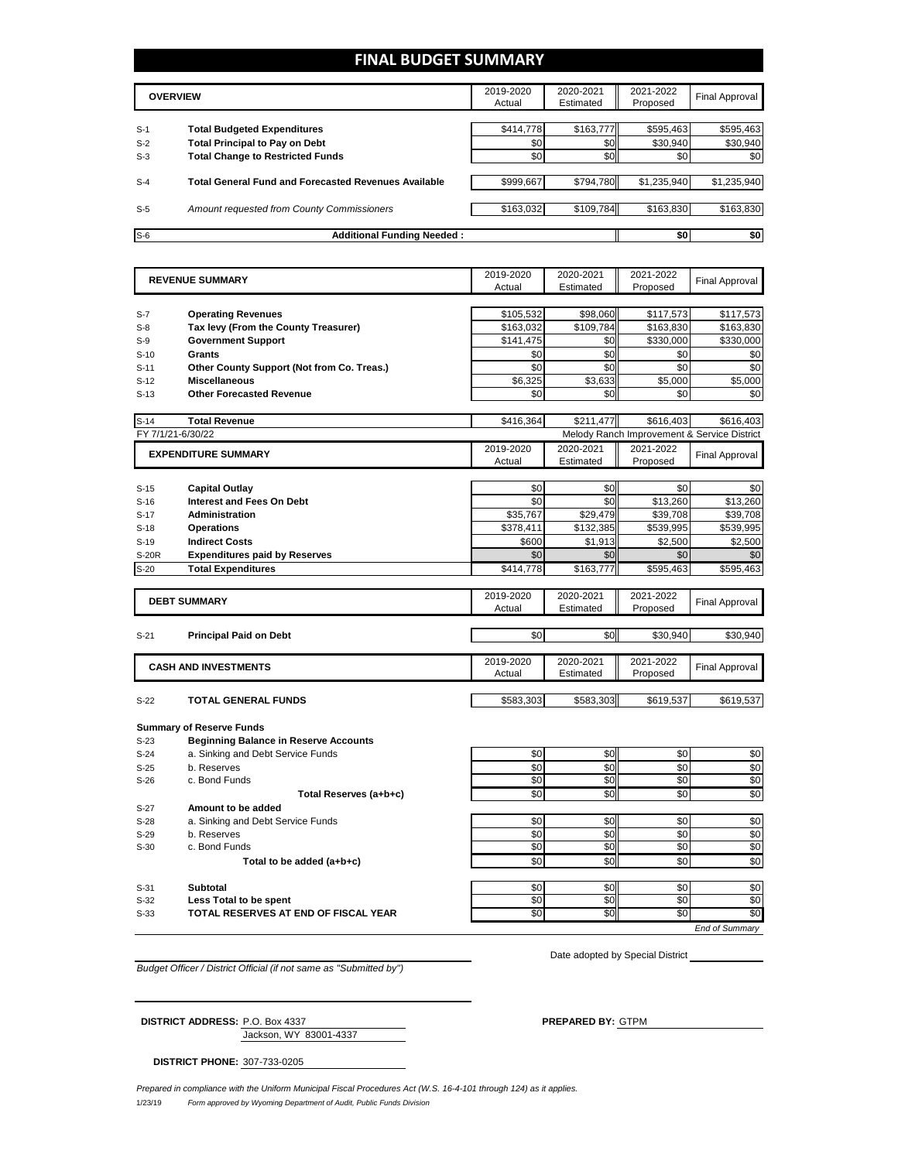### **FINAL BUDGET SUMMARY**

|       | <b>OVERVIEW</b>                                             | 2019-2020<br>Actual | 2020-2021<br>Estimated | 2021-2022<br>Proposed | Final Approval |
|-------|-------------------------------------------------------------|---------------------|------------------------|-----------------------|----------------|
|       |                                                             |                     |                        |                       |                |
| $S-1$ | <b>Total Budgeted Expenditures</b>                          | \$414,778           | \$163,777              | \$595,463             | \$595,463      |
| $S-2$ | <b>Total Principal to Pay on Debt</b>                       | \$0                 | \$0                    | \$30,940              | \$30,940       |
| $S-3$ | <b>Total Change to Restricted Funds</b>                     | \$0                 | \$0                    | \$0                   | \$0            |
|       |                                                             |                     |                        |                       |                |
| $S-4$ | <b>Total General Fund and Forecasted Revenues Available</b> | \$999.667           | \$794.780              | \$1,235,940           | \$1,235,940    |
|       |                                                             |                     |                        |                       |                |
| $S-5$ | Amount requested from County Commissioners                  | \$163,032           | \$109,784              | \$163.830             | \$163,830      |
|       |                                                             |                     |                        |                       |                |
| $S-6$ | <b>Additional Funding Needed:</b>                           |                     |                        | \$0                   | \$0            |

|                | <b>REVENUE SUMMARY</b>                                             | 2019-2020       | 2020-2021       | 2021-2022       | Final Approval                              |
|----------------|--------------------------------------------------------------------|-----------------|-----------------|-----------------|---------------------------------------------|
|                |                                                                    | Actual          | Estimated       | Proposed        |                                             |
|                |                                                                    | \$105,532       | \$98,060        | \$117,573       | \$117,573                                   |
| $S-7$<br>$S-8$ | <b>Operating Revenues</b><br>Tax levy (From the County Treasurer)  | \$163,032       | \$109.784       | \$163,830       | \$163,830                                   |
| $S-9$          | <b>Government Support</b>                                          | \$141,475       | \$0             | \$330,000       | \$330,000                                   |
|                | <b>Grants</b>                                                      | \$0             | \$0             | \$0             |                                             |
| $S-10$         |                                                                    | \$0             | \$0             | \$0             | \$0<br>\$0                                  |
| $S-11$         | Other County Support (Not from Co. Treas.)<br><b>Miscellaneous</b> | \$6,325         | \$3,633         | \$5,000         | \$5,000                                     |
| $S-12$         |                                                                    |                 |                 |                 |                                             |
| $S-13$         | <b>Other Forecasted Revenue</b>                                    | \$0             | \$0             | \$0             | \$0                                         |
| $S-14$         | <b>Total Revenue</b>                                               | \$416,364       | \$211,477       | \$616,403       | \$616,403                                   |
|                | FY 7/1/21-6/30/22                                                  |                 |                 |                 | Melody Ranch Improvement & Service District |
|                | <b>EXPENDITURE SUMMARY</b>                                         | 2019-2020       | 2020-2021       | 2021-2022       | <b>Final Approval</b>                       |
|                |                                                                    | Actual          | Estimated       | Proposed        |                                             |
|                |                                                                    |                 |                 |                 |                                             |
| $S-15$         | <b>Capital Outlay</b>                                              | \$0             | \$0             | \$0             | \$0                                         |
| $S-16$         | <b>Interest and Fees On Debt</b>                                   | \$0             | \$0             | \$13,260        | \$13,260                                    |
| $S-17$         | <b>Administration</b>                                              | \$35,767        | \$29,479        | \$39,708        | \$39,708                                    |
| $S-18$         | <b>Operations</b>                                                  | \$378,411       | \$132,385       | \$539,995       | \$539,995                                   |
| $S-19$         | <b>Indirect Costs</b>                                              | \$600           | \$1,913         | \$2,500         | \$2,500                                     |
| S-20R          | <b>Expenditures paid by Reserves</b>                               | \$0             | \$0             | \$0             | \$0                                         |
| $S-20$         | <b>Total Expenditures</b>                                          | \$414,778       | \$163,777       | \$595,463       | \$595,463                                   |
|                |                                                                    | 2019-2020       | 2020-2021       | 2021-2022       |                                             |
|                | <b>DEBT SUMMARY</b>                                                | Actual          | Estimated       | Proposed        | <b>Final Approval</b>                       |
|                |                                                                    |                 |                 |                 |                                             |
| $S-21$         | <b>Principal Paid on Debt</b>                                      | \$0             | \$0             | \$30,940        | \$30,940                                    |
|                |                                                                    |                 |                 |                 |                                             |
|                | <b>CASH AND INVESTMENTS</b>                                        | 2019-2020       | 2020-2021       | 2021-2022       | <b>Final Approval</b>                       |
|                |                                                                    | Actual          | Estimated       | Proposed        |                                             |
| $S-22$         | <b>TOTAL GENERAL FUNDS</b>                                         | \$583.303       | \$583.303       | \$619.537       | \$619,537                                   |
|                |                                                                    |                 |                 |                 |                                             |
|                | <b>Summary of Reserve Funds</b>                                    |                 |                 |                 |                                             |
| $S-23$         | <b>Beginning Balance in Reserve Accounts</b>                       |                 |                 |                 |                                             |
| $S-24$         | a. Sinking and Debt Service Funds                                  | \$0             | \$0             | \$0             | \$0                                         |
| $S-25$         | b. Reserves                                                        | \$0             | \$0             | \$0             | \$0                                         |
| $S-26$         | c. Bond Funds                                                      | \$0             | \$0             | \$0             | \$0                                         |
|                | Total Reserves (a+b+c)                                             | \$0             | \$0             | \$0             | \$0                                         |
| $S-27$         | Amount to be added                                                 |                 |                 |                 |                                             |
| $S-28$         | a. Sinking and Debt Service Funds                                  | \$0             | \$0             | \$0             | \$0                                         |
| S-29           | b. Reserves                                                        | \$0             | \$0             | \$0             | \$0                                         |
| $S-30$         | c. Bond Funds                                                      | \$0             | \$0             | \$0             | \$0                                         |
|                | Total to be added (a+b+c)                                          | \$0             | \$0             | \$0             | \$0                                         |
|                |                                                                    |                 |                 |                 |                                             |
| $S-31$         | <b>Subtotal</b>                                                    | \$0             | \$0             | \$0             | \$0                                         |
| $S-32$         | Less Total to be spent                                             | \$0             | \$0             | \$0             | \$0                                         |
| $S-33$         | TOTAL RESERVES AT END OF FISCAL YEAR                               | $\overline{50}$ | $\overline{50}$ | $\overline{50}$ | \$0                                         |
|                |                                                                    |                 |                 |                 | End of Summarv                              |

*Budget Officer / District Official (if not same as "Submitted by")*

Date adopted by Special District

Jackson, WY 83001-4337

**DISTRICT ADDRESS:** P.O. Box 4337 **PREPARED BY:** GTPM

**DISTRICT PHONE:** 307-733-0205

1/23/19 *Form approved by Wyoming Department of Audit, Public Funds Division Prepared in compliance with the Uniform Municipal Fiscal Procedures Act (W.S. 16-4-101 through 124) as it applies.*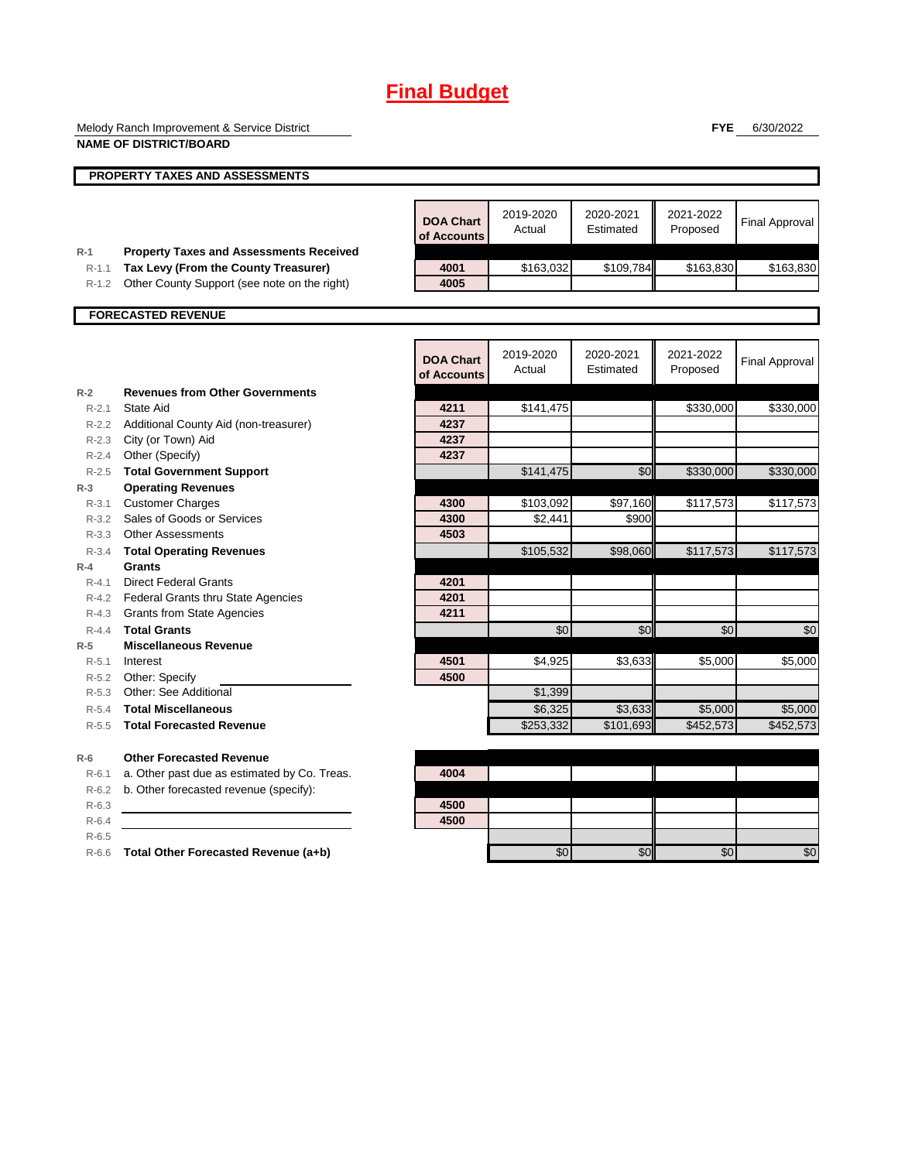Melody Ranch Improvement & Service District **NAME OF DISTRICT/BOARD**

**FYE** 6/30/2022

|                    | טשווטוטוט וט בוואי                                                                     |                                 |                     |                        |                       |                       |
|--------------------|----------------------------------------------------------------------------------------|---------------------------------|---------------------|------------------------|-----------------------|-----------------------|
|                    | <b>PROPERTY TAXES AND ASSESSMENTS</b>                                                  |                                 |                     |                        |                       |                       |
|                    |                                                                                        |                                 |                     |                        |                       |                       |
|                    |                                                                                        | <b>DOA Chart</b><br>of Accounts | 2019-2020<br>Actual | 2020-2021<br>Estimated | 2021-2022<br>Proposed | <b>Final Approval</b> |
| $R-1$<br>$R-1.1$   | <b>Property Taxes and Assessments Received</b><br>Tax Levy (From the County Treasurer) | 4001                            | \$163,032           | \$109,784              | \$163,830             | \$163,830             |
| $R-1.2$            | Other County Support (see note on the right)                                           | 4005                            |                     |                        |                       |                       |
|                    |                                                                                        |                                 |                     |                        |                       |                       |
|                    | <b>FORECASTED REVENUE</b>                                                              |                                 |                     |                        |                       |                       |
|                    |                                                                                        |                                 |                     |                        |                       |                       |
|                    |                                                                                        | <b>DOA Chart</b><br>of Accounts | 2019-2020<br>Actual | 2020-2021<br>Estimated | 2021-2022<br>Proposed | <b>Final Approval</b> |
| $R-2$              | <b>Revenues from Other Governments</b>                                                 |                                 |                     |                        |                       |                       |
| $R-2.1$            | State Aid                                                                              | 4211                            | \$141,475           |                        | \$330,000             | \$330,000             |
|                    | R-2.2 Additional County Aid (non-treasurer)                                            | 4237                            |                     |                        |                       |                       |
|                    | R-2.3 City (or Town) Aid                                                               | 4237                            |                     |                        |                       |                       |
| $R - 2.4$          | Other (Specify)                                                                        | 4237                            |                     |                        |                       |                       |
| $R - 2.5$          | <b>Total Government Support</b>                                                        |                                 | \$141,475           | \$0                    | \$330,000             | \$330,000             |
| $R-3$              | <b>Operating Revenues</b>                                                              |                                 |                     |                        |                       |                       |
| $R - 3.1$          | <b>Customer Charges</b>                                                                | 4300                            | \$103,092           | \$97,160               | \$117,573             | \$117,573             |
| $R - 3.2$          | Sales of Goods or Services                                                             | 4300                            | \$2,441             | \$900                  |                       |                       |
|                    | R-3.3 Other Assessments                                                                | 4503                            |                     |                        |                       |                       |
| $R - 3.4$          | <b>Total Operating Revenues</b>                                                        |                                 | \$105,532           | \$98,060               | \$117,573             | \$117,573             |
| $R-4$<br>$R - 4.1$ | Grants                                                                                 | 4201                            |                     |                        |                       |                       |
| $R - 4.2$          | <b>Direct Federal Grants</b><br>Federal Grants thru State Agencies                     | 4201                            |                     |                        |                       |                       |
|                    | R-4.3 Grants from State Agencies                                                       | 4211                            |                     |                        |                       |                       |
| $R - 4.4$          | <b>Total Grants</b>                                                                    |                                 | \$0                 | \$0                    | \$0                   | \$0                   |
| $R-5$              | <b>Miscellaneous Revenue</b>                                                           |                                 |                     |                        |                       |                       |
| $R - 5.1$          | Interest                                                                               | 4501                            | \$4,925             | \$3,633                | \$5,000               | \$5,000               |
| $R-5.2$            | Other: Specify                                                                         | 4500                            |                     |                        |                       |                       |
| $R - 5.3$          | Other: See Additional                                                                  |                                 | \$1,399             |                        |                       |                       |
| $R-5.4$            | <b>Total Miscellaneous</b>                                                             |                                 | \$6,325             | \$3,633                | \$5,000               | \$5,000               |
| $R-5.5$            | <b>Total Forecasted Revenue</b>                                                        |                                 | \$253,332           | \$101,693              | \$452,573             | \$452,573             |
| $R-6$              | <b>Other Forecasted Revenue</b>                                                        |                                 |                     |                        |                       |                       |
| $R - 6.1$          | a. Other past due as estimated by Co. Treas.                                           | 4004                            |                     |                        |                       |                       |
| $R-6.2$            | b. Other forecasted revenue (specify):                                                 |                                 |                     |                        |                       |                       |
| $R-6.3$            |                                                                                        | 4500                            |                     |                        |                       |                       |
| $R-6.4$            |                                                                                        | 4500                            |                     |                        |                       |                       |
| $R-6.5$            |                                                                                        |                                 |                     |                        |                       |                       |
| $R-6.6$            | Total Other Forecasted Revenue (a+b)                                                   |                                 | \$0                 | \$0                    | \$0                   | \$0                   |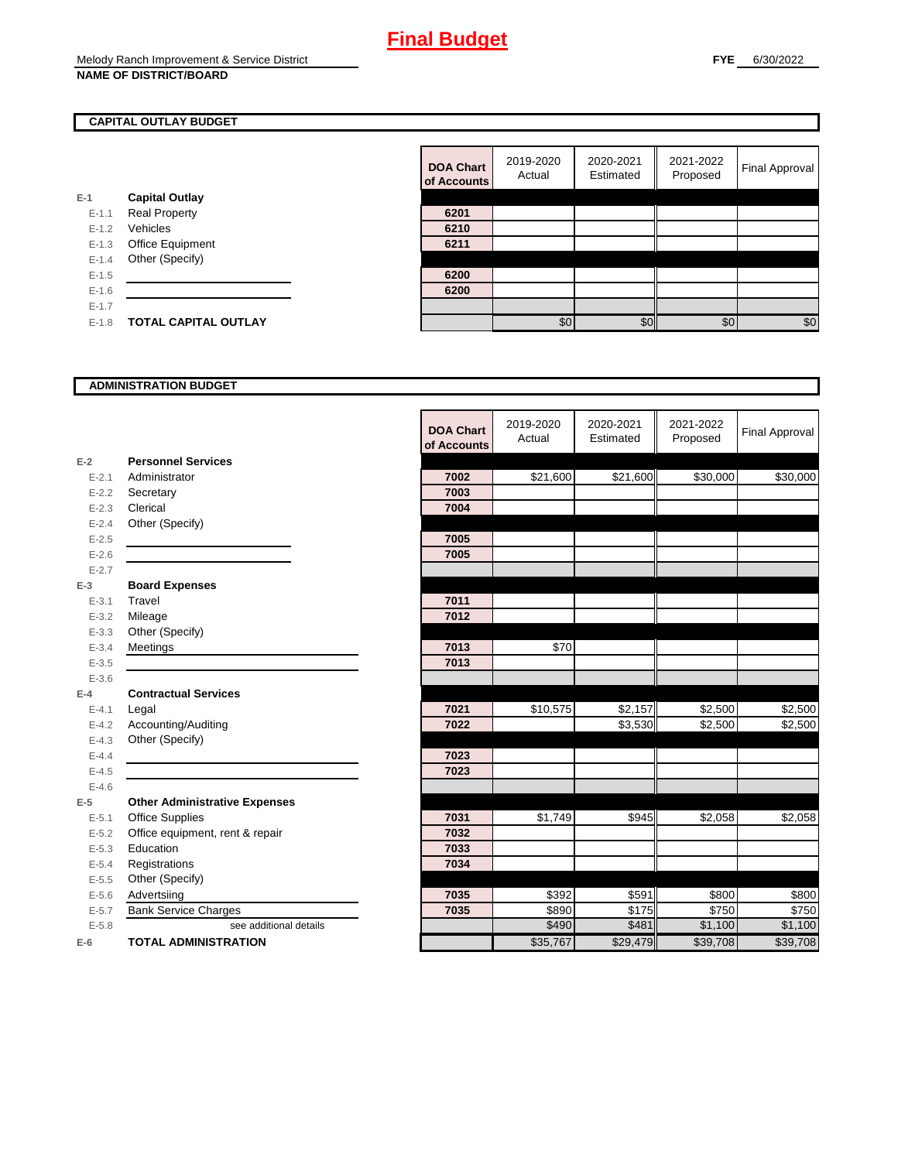### **CAPITAL OUTLAY BUDGET**

|           |                             | ui Auuu |
|-----------|-----------------------------|---------|
| $E-1$     | <b>Capital Outlay</b>       |         |
| $E - 1.1$ | <b>Real Property</b>        | 6201    |
| $E - 1.2$ | Vehicles                    | 6210    |
| $E-1.3$   | <b>Office Equipment</b>     | 6211    |
| $E - 1.4$ | Other (Specify)             |         |
| $E-1.5$   |                             | 6200    |
| $E-1.6$   |                             | 6200    |
| $E - 1.7$ |                             |         |
| $E - 1.8$ | <b>TOTAL CAPITAL OUTLAY</b> |         |
|           |                             |         |

| <b>DOA Chart</b><br>of Accounts | 2019-2020<br>Actual | 2020-2021<br>Estimated | 2021-2022<br>Proposed | <b>Final Approval</b> |
|---------------------------------|---------------------|------------------------|-----------------------|-----------------------|
|                                 |                     |                        |                       |                       |
| 6201                            |                     |                        |                       |                       |
| 6210                            |                     |                        |                       |                       |
| 6211                            |                     |                        |                       |                       |
|                                 |                     |                        |                       |                       |
| 6200                            |                     |                        |                       |                       |
| 6200                            |                     |                        |                       |                       |
|                                 |                     |                        |                       |                       |
|                                 | \$0                 |                        | \$0                   | \$0                   |

#### **ADMINISTRATION BUDGET**

|           |                                      | <b>DOA Chart</b><br>of Accounts | 2019-2020<br>Actual | 2020-2021<br>Estimated | 2021-2022<br>Proposed | <b>Final Approval</b> |
|-----------|--------------------------------------|---------------------------------|---------------------|------------------------|-----------------------|-----------------------|
| $E-2$     | <b>Personnel Services</b>            |                                 |                     |                        |                       |                       |
| $E - 2.1$ | Administrator                        | 7002                            | \$21,600            | \$21,600               | \$30,000              | \$30,000              |
| $E - 2.2$ | Secretary                            | 7003                            |                     |                        |                       |                       |
| $E - 2.3$ | Clerical                             | 7004                            |                     |                        |                       |                       |
| $E - 2.4$ | Other (Specify)                      |                                 |                     |                        |                       |                       |
| $E - 2.5$ |                                      | 7005                            |                     |                        |                       |                       |
| $E - 2.6$ |                                      | 7005                            |                     |                        |                       |                       |
| $E - 2.7$ |                                      |                                 |                     |                        |                       |                       |
| $E-3$     | <b>Board Expenses</b>                |                                 |                     |                        |                       |                       |
| $E - 3.1$ | Travel                               | 7011                            |                     |                        |                       |                       |
| $E - 3.2$ | Mileage                              | 7012                            |                     |                        |                       |                       |
| $E - 3.3$ | Other (Specify)                      |                                 |                     |                        |                       |                       |
| $E - 3.4$ | Meetings                             | 7013                            | \$70                |                        |                       |                       |
| $E - 3.5$ |                                      | 7013                            |                     |                        |                       |                       |
| $E - 3.6$ |                                      |                                 |                     |                        |                       |                       |
| $E-4$     | <b>Contractual Services</b>          |                                 |                     |                        |                       |                       |
| $E - 4.1$ | Legal                                | 7021                            | \$10,575            | \$2,157                | \$2,500               | \$2,500               |
| $E - 4.2$ | Accounting/Auditing                  | 7022                            |                     | \$3,530                | \$2,500               | \$2,500               |
| $E - 4.3$ | Other (Specify)                      |                                 |                     |                        |                       |                       |
| $E - 4.4$ |                                      | 7023                            |                     |                        |                       |                       |
| $E-4.5$   |                                      | 7023                            |                     |                        |                       |                       |
| $E - 4.6$ |                                      |                                 |                     |                        |                       |                       |
| $E-5$     | <b>Other Administrative Expenses</b> |                                 |                     |                        |                       |                       |
| $E - 5.1$ | Office Supplies                      | 7031                            | \$1,749             | \$945                  | \$2,058               | \$2,058               |
| $E - 5.2$ | Office equipment, rent & repair      | 7032                            |                     |                        |                       |                       |
| $E - 5.3$ | Education                            | 7033                            |                     |                        |                       |                       |
| $E - 5.4$ | Registrations                        | 7034                            |                     |                        |                       |                       |
| $E-5.5$   | Other (Specify)                      |                                 |                     |                        |                       |                       |
| $E - 5.6$ | Advertsiing                          | 7035                            | \$392               | \$591                  | \$800                 | \$800                 |
| $E - 5.7$ | <b>Bank Service Charges</b>          | 7035                            | \$890               | $\overline{\$}$ 175    | \$750                 | \$750                 |
| $E - 5.8$ | see additional details               |                                 | \$490               | \$481                  | \$1,100               | \$1,100               |
| $E-6$     | <b>TOTAL ADMINISTRATION</b>          |                                 | \$35,767            | \$29,479               | \$39,708              | \$39,708              |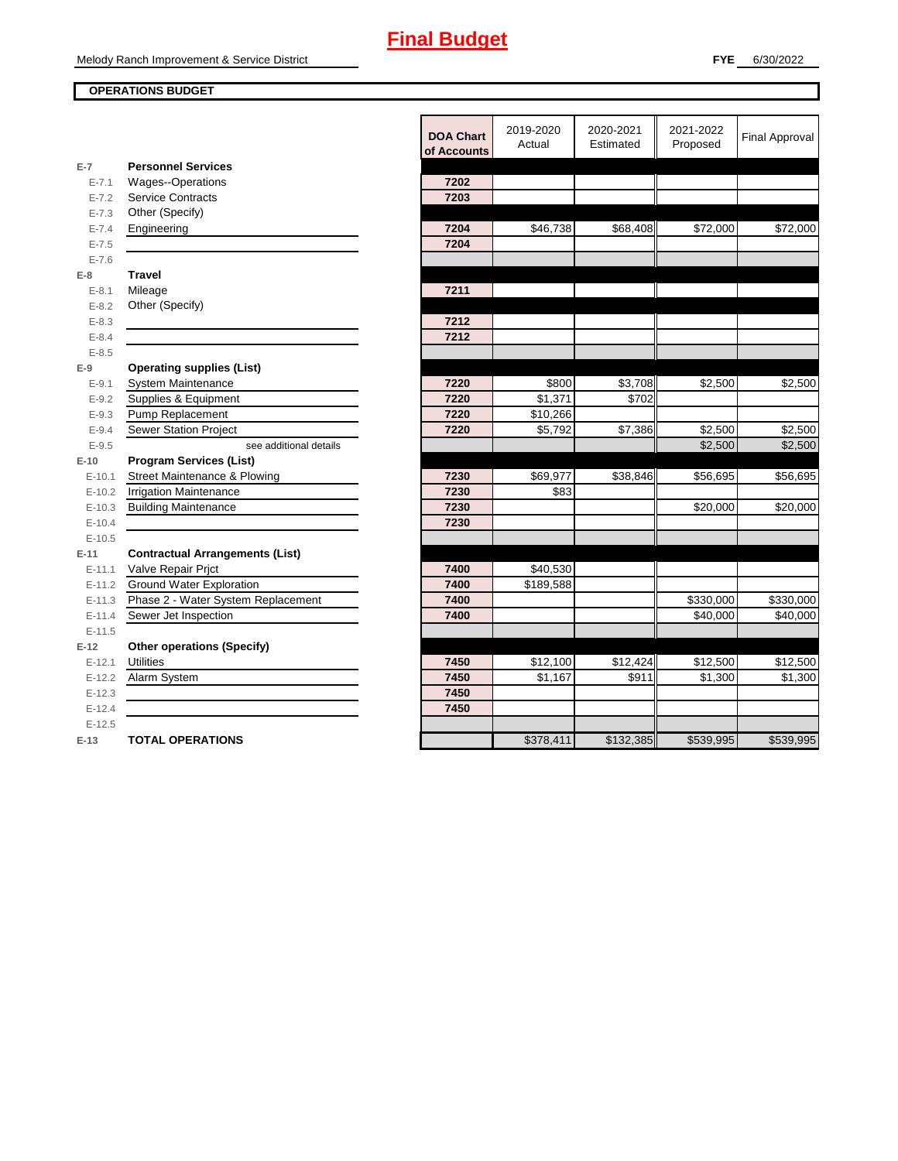### **OPERATIONS BUDGET**

|           |                                        | <b>DOA Chart</b><br>of Accounts | 2019-2020<br>Actual | 2020-2021<br>Estimated | 2021-2022<br>Proposed | <b>Final Approval</b> |
|-----------|----------------------------------------|---------------------------------|---------------------|------------------------|-----------------------|-----------------------|
| $E-7$     | <b>Personnel Services</b>              |                                 |                     |                        |                       |                       |
| $E - 7.1$ | Wages--Operations                      | 7202                            |                     |                        |                       |                       |
| $E - 7.2$ | <b>Service Contracts</b>               | 7203                            |                     |                        |                       |                       |
| $E - 7.3$ | Other (Specify)                        |                                 |                     |                        |                       |                       |
| $E - 7.4$ | Engineering                            | 7204                            | \$46,738            | \$68,408               | \$72,000              | \$72,000              |
| $E - 7.5$ |                                        | 7204                            |                     |                        |                       |                       |
| $E - 7.6$ |                                        |                                 |                     |                        |                       |                       |
| $E-8$     | <b>Travel</b>                          |                                 |                     |                        |                       |                       |
| $E - 8.1$ | Mileage                                | 7211                            |                     |                        |                       |                       |
| $E - 8.2$ | Other (Specify)                        |                                 |                     |                        |                       |                       |
| $E - 8.3$ |                                        | 7212                            |                     |                        |                       |                       |
| $E - 8.4$ |                                        | 7212                            |                     |                        |                       |                       |
| $E - 8.5$ |                                        |                                 |                     |                        |                       |                       |
| $E-9$     | <b>Operating supplies (List)</b>       |                                 |                     |                        |                       |                       |
| $E - 9.1$ | System Maintenance                     | 7220                            | \$800               | \$3,708                | \$2,500               | \$2,500               |
| $E - 9.2$ | Supplies & Equipment                   | 7220                            | \$1,371             | \$702                  |                       |                       |
| $E - 9.3$ | Pump Replacement                       | 7220                            | \$10,266            |                        |                       |                       |
| $E - 9.4$ | <b>Sewer Station Project</b>           | 7220                            | \$5,792             | \$7,386                | \$2,500               | \$2,500               |
| $E - 9.5$ | see additional details                 |                                 |                     |                        | \$2,500               | \$2,500               |
| $E-10$    | <b>Program Services (List)</b>         |                                 |                     |                        |                       |                       |
| $E-10.1$  | Street Maintenance & Plowing           | 7230                            | \$69,977            | \$38,846               | \$56,695              | \$56,695              |
| $E-10.2$  | <b>Irrigation Maintenance</b>          | 7230                            | \$83                |                        |                       |                       |
| $E-10.3$  | <b>Building Maintenance</b>            | 7230                            |                     |                        | \$20,000              | \$20,000              |
| $E-10.4$  |                                        | 7230                            |                     |                        |                       |                       |
| $E-10.5$  |                                        |                                 |                     |                        |                       |                       |
| $E-11$    | <b>Contractual Arrangements (List)</b> |                                 |                     |                        |                       |                       |
| $E-11.1$  | Valve Repair Prjct                     | 7400                            | \$40,530            |                        |                       |                       |
| $E-11.2$  | <b>Ground Water Exploration</b>        | 7400                            | \$189,588           |                        |                       |                       |
| $E-11.3$  | Phase 2 - Water System Replacement     | 7400                            |                     |                        | \$330,000             | \$330,000             |
| $E-11.4$  | Sewer Jet Inspection                   | 7400                            |                     |                        | \$40,000              | \$40,000              |
| $E-11.5$  |                                        |                                 |                     |                        |                       |                       |
| $E-12$    | <b>Other operations (Specify)</b>      |                                 |                     |                        |                       |                       |
| $E-12.1$  | <b>Utilities</b>                       | 7450                            | \$12,100            | \$12,424               | \$12,500              | \$12,500              |
| $E-12.2$  | Alarm System                           | 7450                            | \$1,167             | \$911                  | \$1,300               | \$1,300               |
| $E-12.3$  |                                        | 7450                            |                     |                        |                       |                       |
| $E-12.4$  |                                        | 7450                            |                     |                        |                       |                       |
| $E-12.5$  |                                        |                                 |                     |                        |                       |                       |
| $E-13$    | <b>TOTAL OPERATIONS</b>                |                                 | \$378,411           | \$132,385              | \$539,995             | \$539,995             |
|           |                                        |                                 |                     |                        |                       |                       |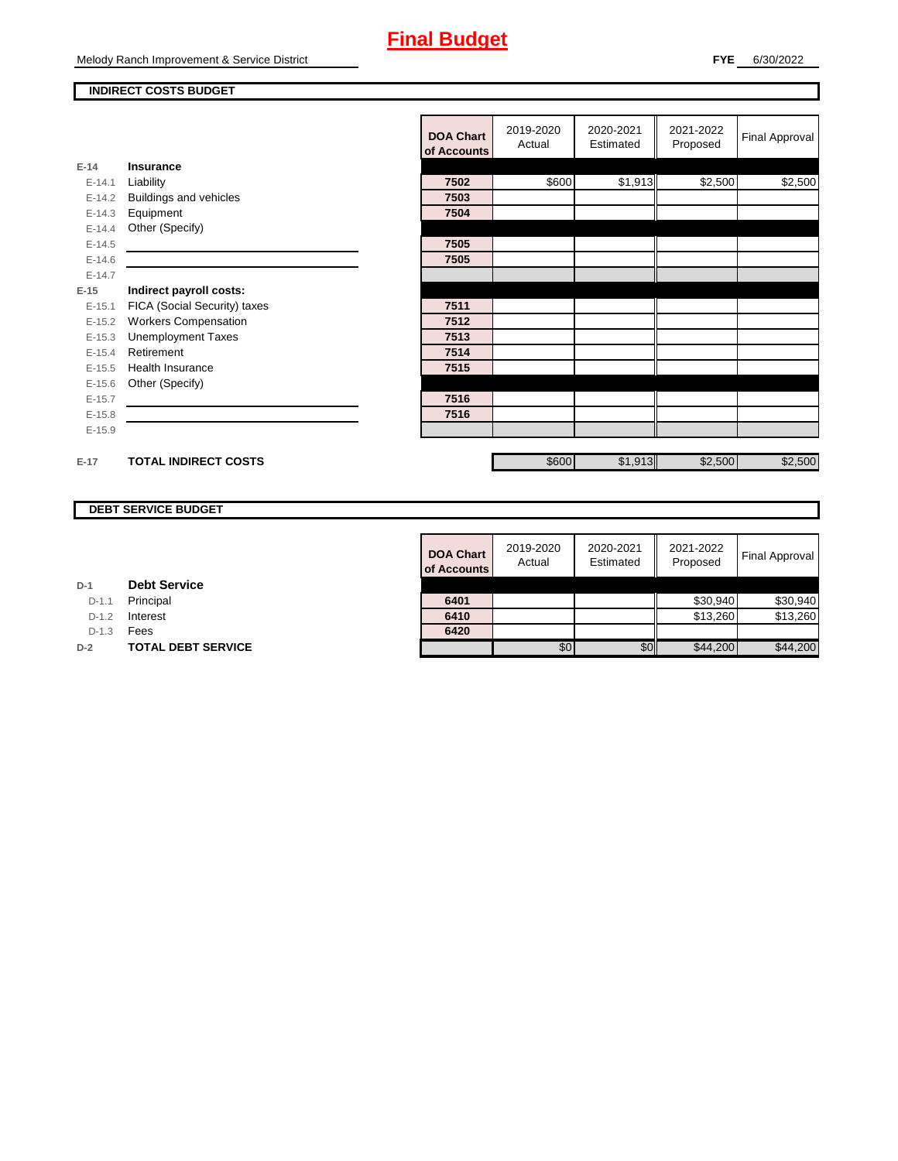#### **INDIRECT COSTS BUDGET**

|          |                              | <b>DOA Chart</b><br>of Accounts | 2019-2020<br>Actual | 2020-2021<br>Estimated | 2021-2022<br>Proposed | Final Approval |
|----------|------------------------------|---------------------------------|---------------------|------------------------|-----------------------|----------------|
| $E-14$   | <b>Insurance</b>             |                                 |                     |                        |                       |                |
| $E-14.1$ | Liability                    | 7502                            | \$600               | \$1,913                | \$2,500               | \$2,500        |
| $E-14.2$ | Buildings and vehicles       | 7503                            |                     |                        |                       |                |
| $E-14.3$ | Equipment                    | 7504                            |                     |                        |                       |                |
| $E-14.4$ | Other (Specify)              |                                 |                     |                        |                       |                |
| $E-14.5$ |                              | 7505                            |                     |                        |                       |                |
| $E-14.6$ |                              | 7505                            |                     |                        |                       |                |
| $E-14.7$ |                              |                                 |                     |                        |                       |                |
| $E-15$   | Indirect payroll costs:      |                                 |                     |                        |                       |                |
| $E-15.1$ | FICA (Social Security) taxes | 7511                            |                     |                        |                       |                |
| $E-15.2$ | <b>Workers Compensation</b>  | 7512                            |                     |                        |                       |                |
| $E-15.3$ | <b>Unemployment Taxes</b>    | 7513                            |                     |                        |                       |                |
| $E-15.4$ | Retirement                   | 7514                            |                     |                        |                       |                |
| $E-15.5$ | <b>Health Insurance</b>      | 7515                            |                     |                        |                       |                |
| $E-15.6$ | Other (Specify)              |                                 |                     |                        |                       |                |
| $E-15.7$ |                              | 7516                            |                     |                        |                       |                |
| $E-15.8$ |                              | 7516                            |                     |                        |                       |                |
| $E-15.9$ |                              |                                 |                     |                        |                       |                |
|          |                              |                                 |                     |                        |                       |                |
| $E-17$   | <b>TOTAL INDIRECT COSTS</b>  |                                 | \$600               | \$1,913                | \$2,500               | \$2,500        |

### **DEBT SERVICE BUDGET**

| <b>DOA Chart</b><br>of Accounts | 2019-2020<br>Actual | 2020-2021<br>Estimated | 2021-2022<br>Proposed | <b>Final Approval</b> |
|---------------------------------|---------------------|------------------------|-----------------------|-----------------------|
|                                 |                     |                        |                       |                       |
| 6401                            |                     |                        | \$30,940              | \$30,940              |
| 6410                            |                     |                        | \$13,260              | \$13,260              |
| 6420                            |                     |                        |                       |                       |
|                                 | \$0                 |                        | \$44,200              | \$44,200              |

**D-1 Debt Service**

D-1.1 **Principal** 

D-1.2 **Interest** 

D-1.3 **Fees** 

**D-2 TOTAL DEBT SERVICE**